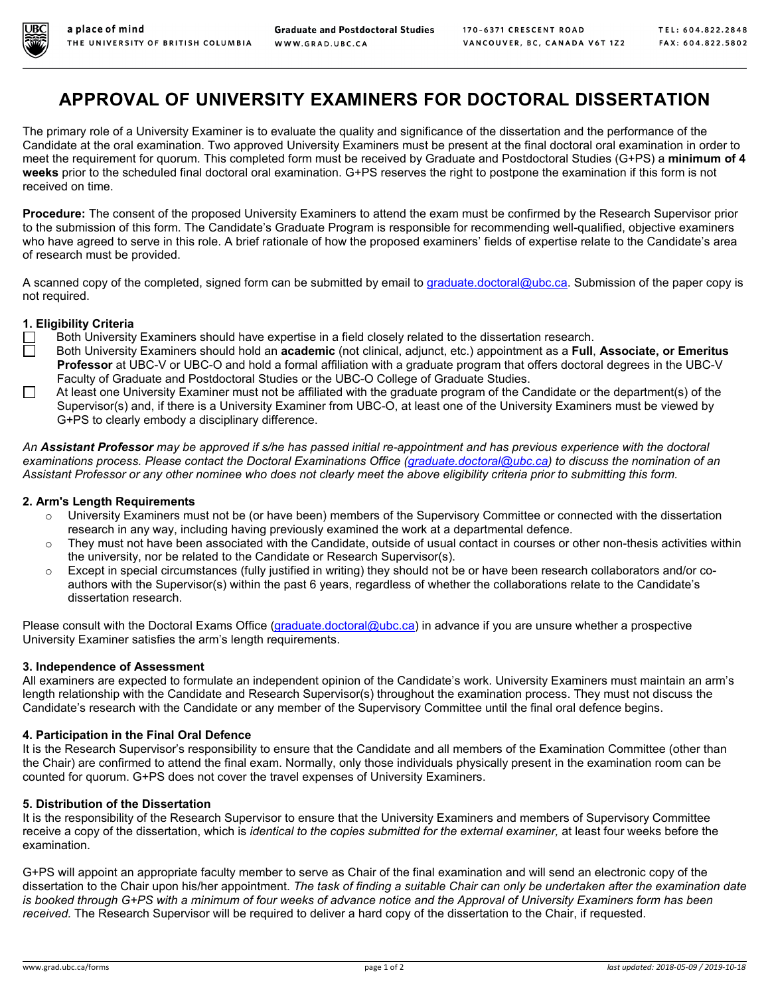

# **APPROVAL OF UNIVERSITY EXAMINERS FOR DOCTORAL DISSERTATION**

The primary role of a University Examiner is to evaluate the quality and significance of the dissertation and the performance of the Candidate at the oral examination. Two approved University Examiners must be present at the final doctoral oral examination in order to meet the requirement for quorum. This completed form must be received by Graduate and Postdoctoral Studies (G+PS) a **minimum of 4 weeks** prior to the scheduled final doctoral oral examination. G+PS reserves the right to postpone the examination if this form is not received on time.

**Procedure:** The consent of the proposed University Examiners to attend the exam must be confirmed by the Research Supervisor prior to the submission of this form. The Candidate's Graduate Program is responsible for recommending well-qualified, objective examiners who have agreed to serve in this role. A brief rationale of how the proposed examiners' fields of expertise relate to the Candidate's area of research must be provided.

A scanned copy of the completed, signed form can be submitted by email to [graduate.doctoral@ubc.ca.](mailto:graduate.doctoral@ubc.ca) Submission of the paper copy is not required.

### **1. Eligibility Criteria**

- Both University Examiners should have expertise in a field closely related to the dissertation research.
- Both University Examiners should hold an **academic** (not clinical, adjunct, etc.) appointment as a **Full**, **Associate, or Emeritus Professor** at UBC-V or UBC-O and hold a formal affiliation with a graduate program that offers doctoral degrees in the UBC-V Faculty of Graduate and Postdoctoral Studies or the UBC-O College of Graduate Studies.
- At least one University Examiner must not be affiliated with the graduate program of the Candidate or the department(s) of the Supervisor(s) and, if there is a University Examiner from UBC-O, at least one of the University Examiners must be viewed by G+PS to clearly embody a disciplinary difference.

*An Assistant Professor may be approved if s/he has passed initial re-appointment and has previous experience with the doctoral examinations process. Please contact the Doctoral Examinations Office [\(graduate.doctoral@ubc.ca\)](mailto:graduate.doctoral@ubc.ca) to discuss the nomination of an Assistant Professor or any other nominee who does not clearly meet the above eligibility criteria prior to submitting this form.*

### **2. Arm's Length Requirements**

- $\circ$  University Examiners must not be (or have been) members of the Supervisory Committee or connected with the dissertation research in any way, including having previously examined the work at a departmental defence.
- $\circ$  They must not have been associated with the Candidate, outside of usual contact in courses or other non-thesis activities within the university, nor be related to the Candidate or Research Supervisor(s).
- $\circ$  Except in special circumstances (fully justified in writing) they should not be or have been research collaborators and/or coauthors with the Supervisor(s) within the past 6 years, regardless of whether the collaborations relate to the Candidate's dissertation research.

Please consult with the Doctoral Exams Office [\(graduate.doctoral@ubc.ca\)](mailto:graduate.doctoral@ubc.ca) in advance if you are unsure whether a prospective University Examiner satisfies the arm's length requirements.

### **3. Independence of Assessment**

All examiners are expected to formulate an independent opinion of the Candidate's work. University Examiners must maintain an arm's length relationship with the Candidate and Research Supervisor(s) throughout the examination process. They must not discuss the Candidate's research with the Candidate or any member of the Supervisory Committee until the final oral defence begins.

### **4. Participation in the Final Oral Defence**

It is the Research Supervisor's responsibility to ensure that the Candidate and all members of the Examination Committee (other than the Chair) are confirmed to attend the final exam. Normally, only those individuals physically present in the examination room can be counted for quorum. G+PS does not cover the travel expenses of University Examiners.

### **5. Distribution of the Dissertation**

It is the responsibility of the Research Supervisor to ensure that the University Examiners and members of Supervisory Committee receive a copy of the dissertation, which is *identical to the copies submitted for the external examiner,* at least four weeks before the examination.

G+PS will appoint an appropriate faculty member to serve as Chair of the final examination and will send an electronic copy of the dissertation to the Chair upon his/her appointment. *The task of finding a suitable Chair can only be undertaken after the examination date is booked through G+PS with a minimum of four weeks of advance notice and the Approval of University Examiners form has been received.* The Research Supervisor will be required to deliver a hard copy of the dissertation to the Chair, if requested.